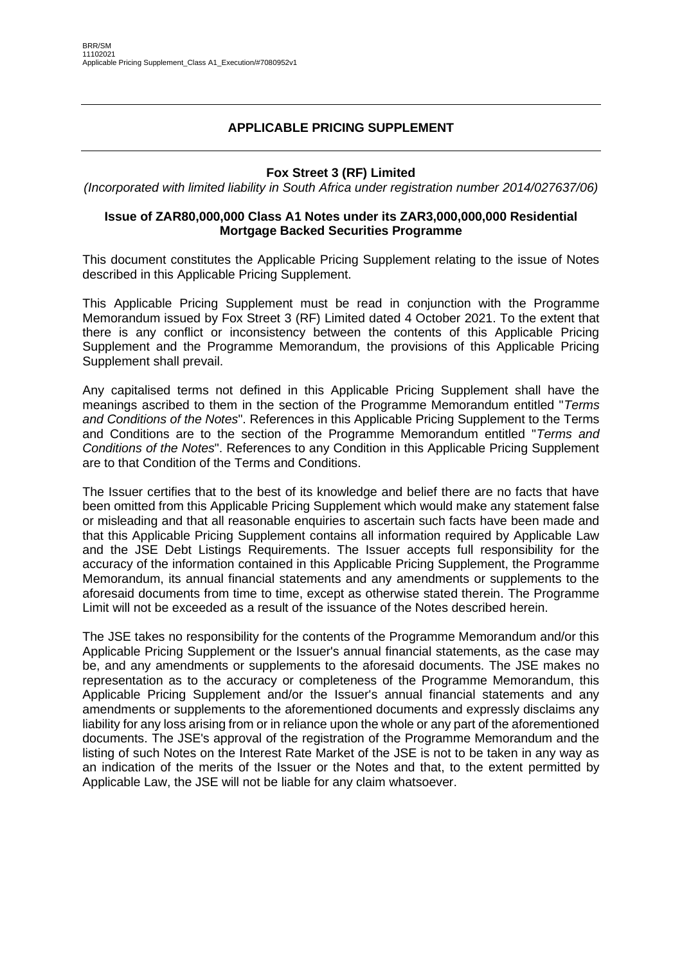## **APPLICABLE PRICING SUPPLEMENT**

### **Fox Street 3 (RF) Limited**

*(Incorporated with limited liability in South Africa under registration number 2014/027637/06)*

#### **Issue of ZAR80,000,000 Class A1 Notes under its ZAR3,000,000,000 Residential Mortgage Backed Securities Programme**

This document constitutes the Applicable Pricing Supplement relating to the issue of Notes described in this Applicable Pricing Supplement.

This Applicable Pricing Supplement must be read in conjunction with the Programme Memorandum issued by Fox Street 3 (RF) Limited dated 4 October 2021. To the extent that there is any conflict or inconsistency between the contents of this Applicable Pricing Supplement and the Programme Memorandum, the provisions of this Applicable Pricing Supplement shall prevail.

Any capitalised terms not defined in this Applicable Pricing Supplement shall have the meanings ascribed to them in the section of the Programme Memorandum entitled "*Terms and Conditions of the Notes*". References in this Applicable Pricing Supplement to the Terms and Conditions are to the section of the Programme Memorandum entitled "*Terms and Conditions of the Notes*". References to any Condition in this Applicable Pricing Supplement are to that Condition of the Terms and Conditions.

The Issuer certifies that to the best of its knowledge and belief there are no facts that have been omitted from this Applicable Pricing Supplement which would make any statement false or misleading and that all reasonable enquiries to ascertain such facts have been made and that this Applicable Pricing Supplement contains all information required by Applicable Law and the JSE Debt Listings Requirements. The Issuer accepts full responsibility for the accuracy of the information contained in this Applicable Pricing Supplement, the Programme Memorandum, its annual financial statements and any amendments or supplements to the aforesaid documents from time to time, except as otherwise stated therein. The Programme Limit will not be exceeded as a result of the issuance of the Notes described herein.

The JSE takes no responsibility for the contents of the Programme Memorandum and/or this Applicable Pricing Supplement or the Issuer's annual financial statements, as the case may be, and any amendments or supplements to the aforesaid documents. The JSE makes no representation as to the accuracy or completeness of the Programme Memorandum, this Applicable Pricing Supplement and/or the Issuer's annual financial statements and any amendments or supplements to the aforementioned documents and expressly disclaims any liability for any loss arising from or in reliance upon the whole or any part of the aforementioned documents. The JSE's approval of the registration of the Programme Memorandum and the listing of such Notes on the Interest Rate Market of the JSE is not to be taken in any way as an indication of the merits of the Issuer or the Notes and that, to the extent permitted by Applicable Law, the JSE will not be liable for any claim whatsoever.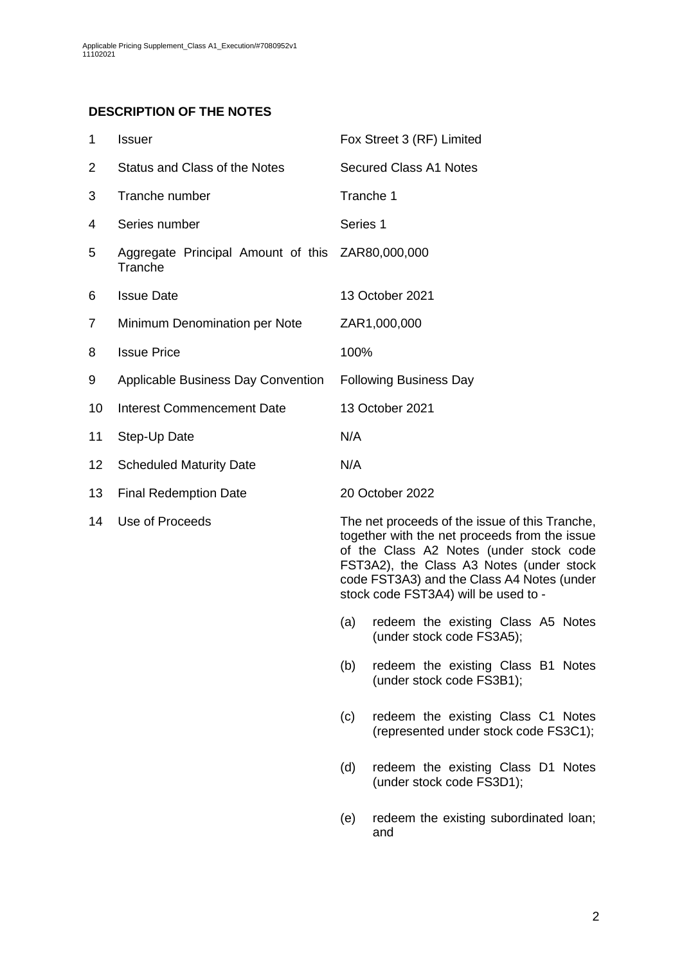## **DESCRIPTION OF THE NOTES**

<span id="page-1-0"></span>

| 1               | <b>Issuer</b>                                               |           | Fox Street 3 (RF) Limited                                                                                                                                                                                                                                                    |
|-----------------|-------------------------------------------------------------|-----------|------------------------------------------------------------------------------------------------------------------------------------------------------------------------------------------------------------------------------------------------------------------------------|
| 2               | Status and Class of the Notes                               |           | <b>Secured Class A1 Notes</b>                                                                                                                                                                                                                                                |
| 3               | Tranche number                                              | Tranche 1 |                                                                                                                                                                                                                                                                              |
| 4               | Series number                                               | Series 1  |                                                                                                                                                                                                                                                                              |
| 5               | Aggregate Principal Amount of this ZAR80,000,000<br>Tranche |           |                                                                                                                                                                                                                                                                              |
| 6               | <b>Issue Date</b>                                           |           | 13 October 2021                                                                                                                                                                                                                                                              |
| 7               | Minimum Denomination per Note                               |           | ZAR1,000,000                                                                                                                                                                                                                                                                 |
| 8               | <b>Issue Price</b>                                          | 100%      |                                                                                                                                                                                                                                                                              |
| 9               | Applicable Business Day Convention                          |           | <b>Following Business Day</b>                                                                                                                                                                                                                                                |
| 10              | <b>Interest Commencement Date</b>                           |           | 13 October 2021                                                                                                                                                                                                                                                              |
| 11              | Step-Up Date                                                | N/A       |                                                                                                                                                                                                                                                                              |
| 12 <sub>2</sub> | <b>Scheduled Maturity Date</b>                              | N/A       |                                                                                                                                                                                                                                                                              |
| 13              | <b>Final Redemption Date</b>                                |           | 20 October 2022                                                                                                                                                                                                                                                              |
| 14              | Use of Proceeds                                             |           | The net proceeds of the issue of this Tranche,<br>together with the net proceeds from the issue<br>of the Class A2 Notes (under stock code<br>FST3A2), the Class A3 Notes (under stock<br>code FST3A3) and the Class A4 Notes (under<br>stock code FST3A4) will be used to - |
|                 |                                                             | (a)       | redeem the existing Class A5 Notes<br>(under stock code FS3A5);                                                                                                                                                                                                              |
|                 |                                                             | (b)       | redeem the existing Class B1 Notes<br>(under stock code FS3B1);                                                                                                                                                                                                              |
|                 |                                                             | (c)       | redeem the existing Class C1 Notes<br>(represented under stock code FS3C1);                                                                                                                                                                                                  |

- (d) redeem the existing Class D1 Notes (under stock code FS3D1);
- (e) redeem the existing subordinated loan; and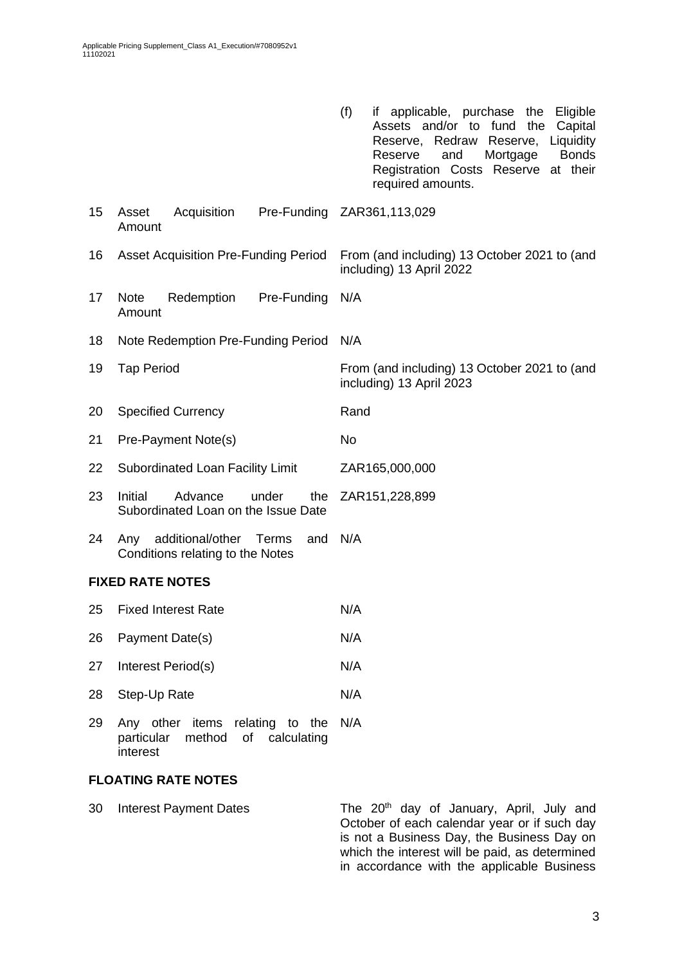|      |                                                                           | (f)<br>applicable, purchase<br>Eligible<br>the<br>IŤ.<br>Assets and/or to fund<br>the<br>Capital<br>Redraw<br>Liquidity<br>Reserve,<br>Reserve,<br><b>Bonds</b><br>Mortgage<br>Reserve<br>and<br>Registration Costs Reserve at their<br>required amounts. |  |  |  |
|------|---------------------------------------------------------------------------|-----------------------------------------------------------------------------------------------------------------------------------------------------------------------------------------------------------------------------------------------------------|--|--|--|
| 15   | Asset<br>Acquisition<br>Amount                                            | Pre-Funding ZAR361,113,029                                                                                                                                                                                                                                |  |  |  |
| 16   | <b>Asset Acquisition Pre-Funding Period</b>                               | From (and including) 13 October 2021 to (and<br>including) 13 April 2022                                                                                                                                                                                  |  |  |  |
| 17   | Redemption<br>Pre-Funding<br><b>Note</b><br>Amount                        | N/A                                                                                                                                                                                                                                                       |  |  |  |
| 18   | Note Redemption Pre-Funding Period                                        | N/A                                                                                                                                                                                                                                                       |  |  |  |
| 19   | <b>Tap Period</b>                                                         | From (and including) 13 October 2021 to (and<br>including) 13 April 2023                                                                                                                                                                                  |  |  |  |
| 20   | <b>Specified Currency</b>                                                 | Rand                                                                                                                                                                                                                                                      |  |  |  |
| 21   | Pre-Payment Note(s)                                                       | No                                                                                                                                                                                                                                                        |  |  |  |
| 22   | Subordinated Loan Facility Limit                                          | ZAR165,000,000                                                                                                                                                                                                                                            |  |  |  |
| 23   | Initial<br>Advance<br>under<br>the<br>Subordinated Loan on the Issue Date | ZAR151,228,899                                                                                                                                                                                                                                            |  |  |  |
| 24   | additional/other Terms<br>and<br>Any<br>Conditions relating to the Notes  | N/A                                                                                                                                                                                                                                                       |  |  |  |
|      | <b>FIXED RATE NOTES</b>                                                   |                                                                                                                                                                                                                                                           |  |  |  |
| 25   | <b>Fixed Interest Rate</b>                                                | N/A                                                                                                                                                                                                                                                       |  |  |  |
| 26   | Payment Date(s)                                                           | N/A                                                                                                                                                                                                                                                       |  |  |  |
| 27   | Interest Period(s)                                                        | N/A                                                                                                                                                                                                                                                       |  |  |  |
| 28   | Step-Up Rate                                                              | N/A                                                                                                                                                                                                                                                       |  |  |  |
| 20 L | $\Delta$ ny other items relating to the $N/\Delta$                        |                                                                                                                                                                                                                                                           |  |  |  |

29 Any other items relating to the N/A particular method of calculating interest

### **FLOATING RATE NOTES**

30 Interest Payment Dates The 20<sup>th</sup> day of January, April, July and October of each calendar year or if such day is not a Business Day, the Business Day on which the interest will be paid, as determined in accordance with the applicable Business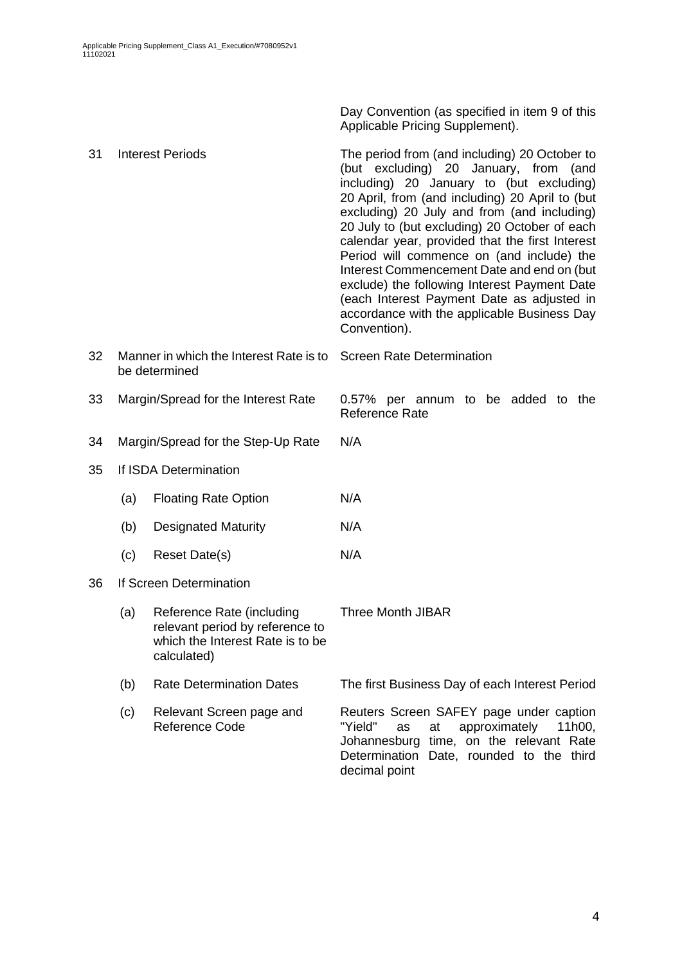Day Convention (as specified in item [9](#page-1-0) of this Applicable Pricing Supplement).

| 31 |                                                   | <b>Interest Periods</b>                                                                                         | The period from (and including) 20 October to<br>(but excluding) 20 January, from (and<br>including) 20 January to (but excluding)<br>20 April, from (and including) 20 April to (but<br>excluding) 20 July and from (and including)<br>20 July to (but excluding) 20 October of each<br>calendar year, provided that the first Interest<br>Period will commence on (and include) the<br>Interest Commencement Date and end on (but<br>exclude) the following Interest Payment Date<br>(each Interest Payment Date as adjusted in<br>accordance with the applicable Business Day<br>Convention). |  |  |  |  |
|----|---------------------------------------------------|-----------------------------------------------------------------------------------------------------------------|--------------------------------------------------------------------------------------------------------------------------------------------------------------------------------------------------------------------------------------------------------------------------------------------------------------------------------------------------------------------------------------------------------------------------------------------------------------------------------------------------------------------------------------------------------------------------------------------------|--|--|--|--|
| 32 |                                                   | Manner in which the Interest Rate is to<br>be determined                                                        | <b>Screen Rate Determination</b>                                                                                                                                                                                                                                                                                                                                                                                                                                                                                                                                                                 |  |  |  |  |
| 33 | Margin/Spread for the Interest Rate               |                                                                                                                 | 0.57% per annum to be added to the<br>Reference Rate                                                                                                                                                                                                                                                                                                                                                                                                                                                                                                                                             |  |  |  |  |
| 34 |                                                   | Margin/Spread for the Step-Up Rate                                                                              | N/A                                                                                                                                                                                                                                                                                                                                                                                                                                                                                                                                                                                              |  |  |  |  |
| 35 | If ISDA Determination                             |                                                                                                                 |                                                                                                                                                                                                                                                                                                                                                                                                                                                                                                                                                                                                  |  |  |  |  |
|    | (a)                                               | <b>Floating Rate Option</b>                                                                                     | N/A                                                                                                                                                                                                                                                                                                                                                                                                                                                                                                                                                                                              |  |  |  |  |
|    | (b)                                               | <b>Designated Maturity</b>                                                                                      | N/A                                                                                                                                                                                                                                                                                                                                                                                                                                                                                                                                                                                              |  |  |  |  |
|    | (c)                                               | Reset Date(s)                                                                                                   | N/A                                                                                                                                                                                                                                                                                                                                                                                                                                                                                                                                                                                              |  |  |  |  |
| 36 |                                                   | If Screen Determination                                                                                         |                                                                                                                                                                                                                                                                                                                                                                                                                                                                                                                                                                                                  |  |  |  |  |
|    | (a)                                               | Reference Rate (including<br>relevant period by reference to<br>which the Interest Rate is to be<br>calculated) | <b>Three Month JIBAR</b>                                                                                                                                                                                                                                                                                                                                                                                                                                                                                                                                                                         |  |  |  |  |
|    | (b)                                               | <b>Rate Determination Dates</b>                                                                                 | The first Business Day of each Interest Period                                                                                                                                                                                                                                                                                                                                                                                                                                                                                                                                                   |  |  |  |  |
|    | (c)<br>Relevant Screen page and<br>Reference Code |                                                                                                                 | Reuters Screen SAFEY page under caption<br>"Yield"<br>at<br>approximately<br>as<br>11h00,<br>Johannesburg time, on the relevant Rate<br>Determination Date, rounded to the third<br>decimal point                                                                                                                                                                                                                                                                                                                                                                                                |  |  |  |  |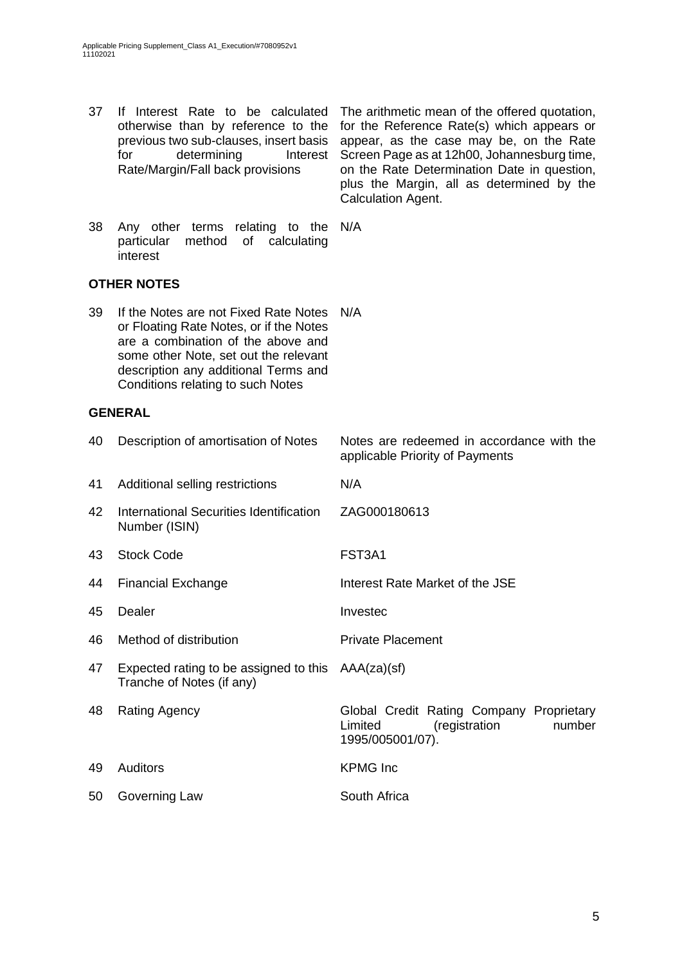37 If Interest Rate to be calculated

otherwise than by reference to the previous two sub-clauses, insert basis for determining Interest Rate/Margin/Fall back provisions for the Reference Rate(s) which appears or appear, as the case may be, on the Rate Screen Page as at 12h00, Johannesburg time, on the Rate Determination Date in question, plus the Margin, all as determined by the Calculation Agent. 38 Any other terms relating to the N/A particular method of calculating interest **OTHER NOTES** 39 If the Notes are not Fixed Rate Notes N/A or Floating Rate Notes, or if the Notes are a combination of the above and some other Note, set out the relevant description any additional Terms and Conditions relating to such Notes **GENERAL** 40 Description of amortisation of Notes Notes are redeemed in accordance with the applicable Priority of Payments 41 Additional selling restrictions N/A 42 International Securities Identification Number (ISIN) ZAG000180613 43 Stock Code FST3A1 44 Financial Exchange Interest Rate Market of the JSE 45 Dealer **Invested** 46 Method of distribution **Private Placement** 47 Expected rating to be assigned to this AAA(za)(sf) Tranche of Notes (if any) 48 Rating Agency Global Credit Rating Company Proprietary Limited (registration number 1995/005001/07). 49 Auditors KPMG Inc 50 Governing Law South Africa

The arithmetic mean of the offered quotation,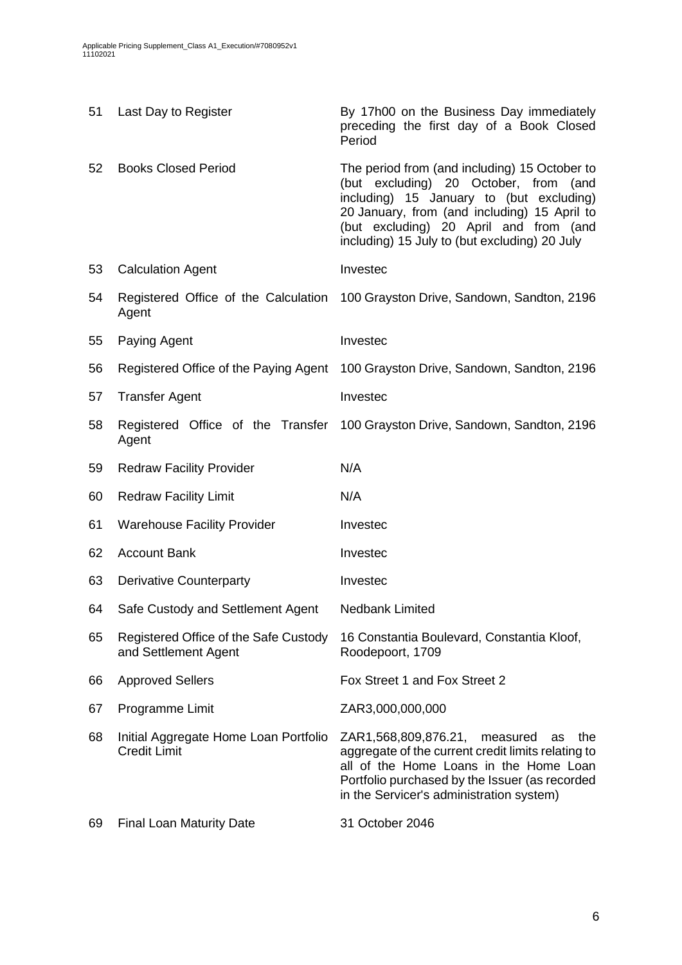| 51 | Last Day to Register                                          | By 17h00 on the Business Day immediately<br>preceding the first day of a Book Closed<br>Period                                                                                                                                                                                   |
|----|---------------------------------------------------------------|----------------------------------------------------------------------------------------------------------------------------------------------------------------------------------------------------------------------------------------------------------------------------------|
| 52 | <b>Books Closed Period</b>                                    | The period from (and including) 15 October to<br>(but excluding) 20 October, from<br>(and<br>including) 15 January to (but excluding)<br>20 January, from (and including) 15 April to<br>(but excluding) 20 April and from (and<br>including) 15 July to (but excluding) 20 July |
| 53 | <b>Calculation Agent</b>                                      | Investec                                                                                                                                                                                                                                                                         |
| 54 | Agent                                                         | Registered Office of the Calculation 100 Grayston Drive, Sandown, Sandton, 2196                                                                                                                                                                                                  |
| 55 | Paying Agent                                                  | Investec                                                                                                                                                                                                                                                                         |
| 56 | Registered Office of the Paying Agent                         | 100 Grayston Drive, Sandown, Sandton, 2196                                                                                                                                                                                                                                       |
| 57 | <b>Transfer Agent</b>                                         | Investec                                                                                                                                                                                                                                                                         |
| 58 | Agent                                                         | Registered Office of the Transfer 100 Grayston Drive, Sandown, Sandton, 2196                                                                                                                                                                                                     |
| 59 | <b>Redraw Facility Provider</b>                               | N/A                                                                                                                                                                                                                                                                              |
| 60 | <b>Redraw Facility Limit</b>                                  | N/A                                                                                                                                                                                                                                                                              |
| 61 | <b>Warehouse Facility Provider</b>                            | Investec                                                                                                                                                                                                                                                                         |
| 62 | <b>Account Bank</b>                                           | Investec                                                                                                                                                                                                                                                                         |
| 63 | <b>Derivative Counterparty</b>                                | Investec                                                                                                                                                                                                                                                                         |
| 64 | Safe Custody and Settlement Agent                             | Nedbank Limited                                                                                                                                                                                                                                                                  |
| 65 | Registered Office of the Safe Custody<br>and Settlement Agent | 16 Constantia Boulevard, Constantia Kloof,<br>Roodepoort, 1709                                                                                                                                                                                                                   |
| 66 | <b>Approved Sellers</b>                                       | Fox Street 1 and Fox Street 2                                                                                                                                                                                                                                                    |
| 67 | Programme Limit                                               | ZAR3,000,000,000                                                                                                                                                                                                                                                                 |
| 68 | Initial Aggregate Home Loan Portfolio<br><b>Credit Limit</b>  | ZAR1,568,809,876.21, measured<br>the<br>as<br>aggregate of the current credit limits relating to<br>all of the Home Loans in the Home Loan<br>Portfolio purchased by the Issuer (as recorded<br>in the Servicer's administration system)                                         |
| 69 | <b>Final Loan Maturity Date</b>                               | 31 October 2046                                                                                                                                                                                                                                                                  |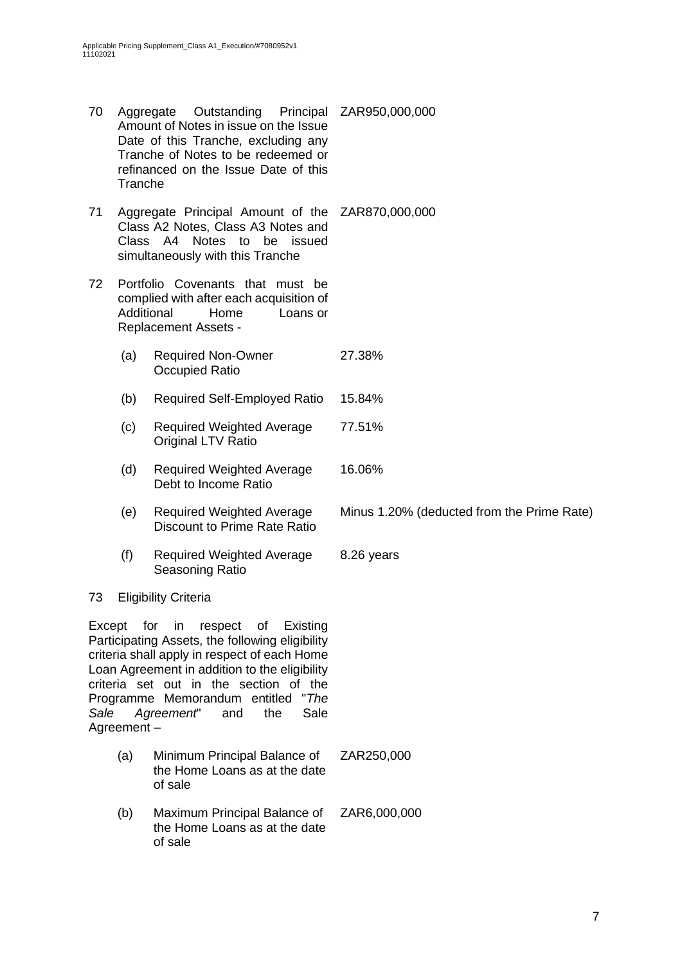- 70 Aggregate Outstanding Amount of Notes in issue on the Issue Date of this Tranche, excluding any Tranche of Notes to be redeemed or refinanced on the Issue Date of this Tranche Principal ZAR950,000,000 71 Aggregate Principal Amount of the ZAR870,000,000 Class A2 Notes, Class A3 Notes and Class A4 Notes to be issued simultaneously with this Tranche 72 Portfolio Covenants that must be complied with after each acquisition of Additional Home Loans or Replacement Assets -
	- (a) Required Non-Owner Occupied Ratio 27.38%
	- (b) Required Self-Employed Ratio 15.84%
	- (c) Required Weighted Average Original LTV Ratio 77.51%
	- (d) Required Weighted Average Debt to Income Ratio 16.06%
	- (e) Required Weighted Average Discount to Prime Rate Ratio
	- (f) Required Weighted Average Seasoning Ratio 8.26 years

### 73 Eligibility Criteria

Except for in respect of Existing Participating Assets, the following eligibility criteria shall apply in respect of each Home Loan Agreement in addition to the eligibility criteria set out in the section of the Programme Memorandum entitled "*The Sale Agreement*" and the Sale Agreement –

- (a) Minimum Principal Balance of the Home Loans as at the date of sale ZAR250,000
- (b) Maximum Principal Balance of the Home Loans as at the date of sale ZAR6,000,000

Minus 1.20% (deducted from the Prime Rate)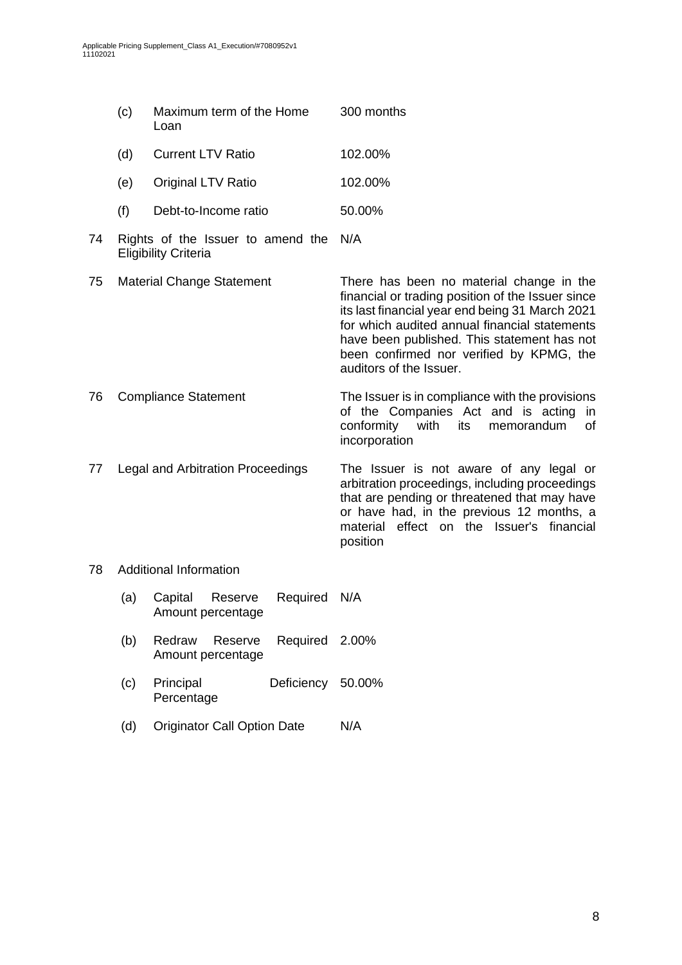|    | (c)                               | Maximum term of the Home<br>Loan                                 |          | 300 months                                                                                                                                                                                                                                                                                                              |  |
|----|-----------------------------------|------------------------------------------------------------------|----------|-------------------------------------------------------------------------------------------------------------------------------------------------------------------------------------------------------------------------------------------------------------------------------------------------------------------------|--|
|    | (d)                               | <b>Current LTV Ratio</b>                                         |          | 102.00%                                                                                                                                                                                                                                                                                                                 |  |
|    | (e)                               | Original LTV Ratio                                               |          | 102.00%                                                                                                                                                                                                                                                                                                                 |  |
|    | (f)                               | Debt-to-Income ratio                                             |          | 50.00%                                                                                                                                                                                                                                                                                                                  |  |
| 74 |                                   | Rights of the Issuer to amend the<br><b>Eligibility Criteria</b> |          | N/A                                                                                                                                                                                                                                                                                                                     |  |
| 75 | <b>Material Change Statement</b>  |                                                                  |          | There has been no material change in the<br>financial or trading position of the Issuer since<br>its last financial year end being 31 March 2021<br>for which audited annual financial statements<br>have been published. This statement has not<br>been confirmed nor verified by KPMG, the<br>auditors of the Issuer. |  |
| 76 | <b>Compliance Statement</b>       |                                                                  |          | The Issuer is in compliance with the provisions<br>of the Companies Act and is acting in<br>conformity<br>with<br>its<br>memorandum<br>of<br>incorporation                                                                                                                                                              |  |
| 77 | Legal and Arbitration Proceedings |                                                                  |          | The Issuer is not aware of any legal or<br>arbitration proceedings, including proceedings<br>that are pending or threatened that may have<br>or have had, in the previous 12 months, a<br>material effect on the Issuer's financial<br>position                                                                         |  |
| 78 | <b>Additional Information</b>     |                                                                  |          |                                                                                                                                                                                                                                                                                                                         |  |
|    | (a)                               | Capital<br>Reserve<br>Amount percentage                          | Required | N/A                                                                                                                                                                                                                                                                                                                     |  |
|    | (b)                               | Redraw<br>Reserve<br>Amount percentage                           | Required | 2.00%                                                                                                                                                                                                                                                                                                                   |  |

- (c) Principal Deficiency Percentage Deficiency 50.00%
- (d) Originator Call Option Date N/A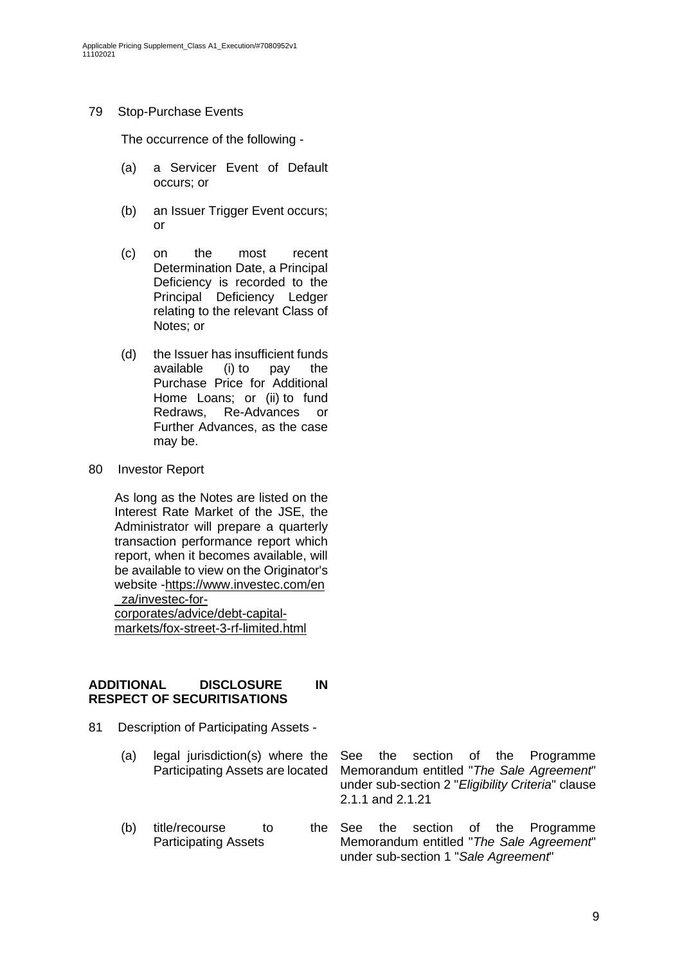### 79 Stop-Purchase Events

The occurrence of the following -

- (a) a Servicer Event of Default occurs; or
- (b) an Issuer Trigger Event occurs; or
- (c) on the most recent Determination Date, a Principal Deficiency is recorded to the Principal Deficiency Ledger relating to the relevant Class of Notes; or
- (d) the Issuer has insufficient funds available (i) to pay the Purchase Price for Additional Home Loans; or (ii) to fund Redraws, Re-Advances or Further Advances, as the case may be.
- 80 Investor Report

As long as the Notes are listed on the Interest Rate Market of the JSE, the Administrator will prepare a quarterly transaction performance report which report, when it becomes available, will be available to view on the Originator's website -https://www.investec.com/en \_za/investec-forcorporates/advice/debt-capital-

markets/fox-street-3-rf-limited.html

### **ADDITIONAL DISCLOSURE IN RESPECT OF SECURITISATIONS**

- 81 Description of Participating Assets
	- (a) legal jurisdiction(s) where the Participating Assets are located
	- (b) title/recourse to the See Participating Assets

See the section of the Programme Memorandum entitled "*The Sale Agreement*" under sub-section 2 "*Eligibility Criteria*" clause 2.1.1 and 2.1.21

the section of the Programme Memorandum entitled "*The Sale Agreement*" under sub-section 1 "*Sale Agreement*"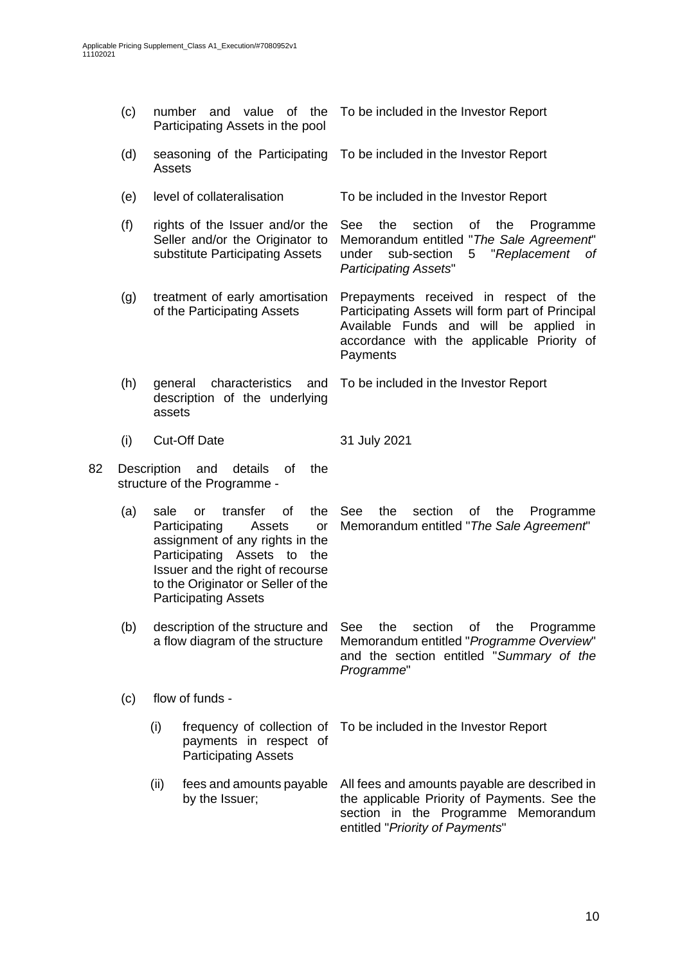| (c) |                                                                                            | number and value of the<br>Participating Assets in the pool                                                                                                                                                                                                  | To be included in the Investor Report                                                                                                                                                          |  |  |
|-----|--------------------------------------------------------------------------------------------|--------------------------------------------------------------------------------------------------------------------------------------------------------------------------------------------------------------------------------------------------------------|------------------------------------------------------------------------------------------------------------------------------------------------------------------------------------------------|--|--|
|     | (d)                                                                                        | seasoning of the Participating<br>Assets                                                                                                                                                                                                                     | To be included in the Investor Report                                                                                                                                                          |  |  |
|     | (e)                                                                                        | level of collateralisation                                                                                                                                                                                                                                   | To be included in the Investor Report                                                                                                                                                          |  |  |
|     | (f)                                                                                        | rights of the Issuer and/or the<br>Seller and/or the Originator to<br>substitute Participating Assets                                                                                                                                                        | the<br>section<br>See<br>οf<br>the<br>Programme<br>Memorandum entitled "The Sale Agreement"<br>sub-section<br>"Replacement<br>under<br>5<br>оf<br><b>Participating Assets"</b>                 |  |  |
|     | treatment of early amortisation<br>(g)<br>of the Participating Assets                      |                                                                                                                                                                                                                                                              | Prepayments received in respect of the<br>Participating Assets will form part of Principal<br>Available Funds and will be applied in<br>accordance with the applicable Priority of<br>Payments |  |  |
|     | (h)                                                                                        | characteristics<br>and<br>general<br>description of the underlying<br>assets                                                                                                                                                                                 | To be included in the Investor Report                                                                                                                                                          |  |  |
|     | (i)                                                                                        | <b>Cut-Off Date</b>                                                                                                                                                                                                                                          | 31 July 2021                                                                                                                                                                                   |  |  |
| 82  | Description and<br>details<br>of<br>the<br>structure of the Programme -                    |                                                                                                                                                                                                                                                              |                                                                                                                                                                                                |  |  |
|     | (a)                                                                                        | transfer<br>of<br>the<br>sale<br><b>or</b><br>Participating<br>Assets<br>or<br>assignment of any rights in the<br>Participating<br>Assets to<br>the<br>Issuer and the right of recourse<br>to the Originator or Seller of the<br><b>Participating Assets</b> | See<br>the<br>section<br>οf<br>the<br>Programme<br>Memorandum entitled "The Sale Agreement"                                                                                                    |  |  |
|     | (b)<br>description of the structure and<br>a flow diagram of the structure                 |                                                                                                                                                                                                                                                              | See<br>the<br>section<br>of<br>the<br>Programme<br>Memorandum entitled "Programme Overview"<br>and the section entitled "Summary of the<br>Programme"                                          |  |  |
|     | (c)                                                                                        | flow of funds -                                                                                                                                                                                                                                              |                                                                                                                                                                                                |  |  |
|     | (i)<br>frequency of collection of<br>payments in respect of<br><b>Participating Assets</b> |                                                                                                                                                                                                                                                              | To be included in the Investor Report                                                                                                                                                          |  |  |
|     |                                                                                            | (ii)<br>fees and amounts payable<br>by the Issuer;                                                                                                                                                                                                           | All fees and amounts payable are described in<br>the applicable Priority of Payments. See the<br>section in the Programme Memorandum                                                           |  |  |

entitled "*Priority of Payments*"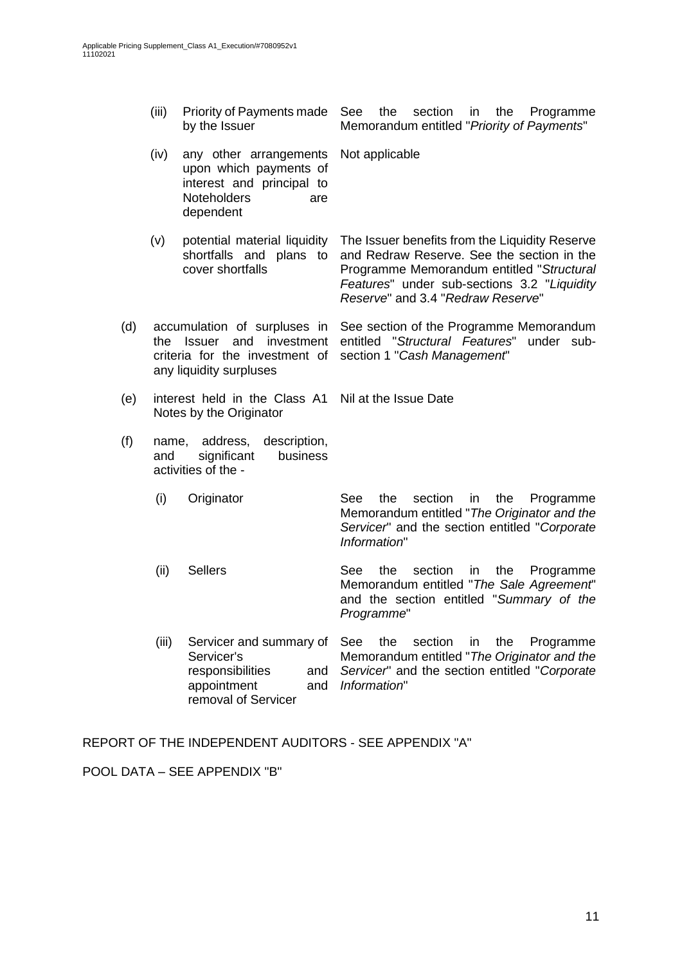- (iii) Priority of Payments made by the Issuer See the section in the Programme Memorandum entitled "*Priority of Payments*"
- (iv) any other arrangements upon which payments of interest and principal to Noteholders are dependent Not applicable
- (v) potential material liquidity shortfalls and plans to cover shortfalls
- (d) accumulation of surpluses in the Issuer and investment criteria for the investment of any liquidity surpluses
- (e) interest held in the Class A1 Notes by the Originator Nil at the Issue Date
- (f) name, address, description, and significant business activities of the -
	- (i) Originator See the section in the Programme Memorandum entitled "*The Originator and the Servicer*" and the section entitled "*Corporate Information*"
	- (ii) Sellers See the section in the Programme Memorandum entitled "*The Sale Agreement*" and the section entitled "*Summary of the Programme*"

The Issuer benefits from the Liquidity Reserve and Redraw Reserve. See the section in the Programme Memorandum entitled "*Structural Features*" under sub-sections 3.2 "*Liquidity* 

See section of the Programme Memorandum entitled "*Structural Features*" under sub-

*Reserve*" and 3.4 "*Redraw Reserve*"

section 1 "*Cash Management*"

(iii) Servicer and summary of Servicer's responsibilities and appointment removal of Servicer See the section in the Programme Memorandum entitled "*The Originator and the Servicer*" and the section entitled "*Corporate Information*"

REPORT OF THE INDEPENDENT AUDITORS - SEE APPENDIX "A"

POOL DATA – SEE APPENDIX "B"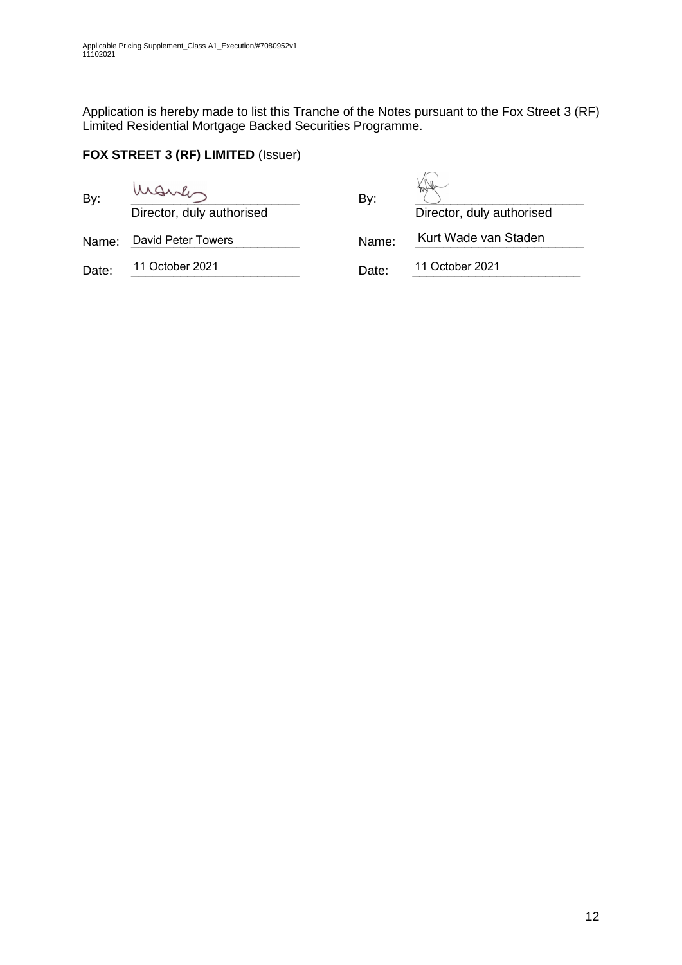Application is hereby made to list this Tranche of the Notes pursuant to the Fox Street 3 (RF) Limited Residential Mortgage Backed Securities Programme.

## **FOX STREET 3 (RF) LIMITED** (Issuer)

| By:   | Director, duly authorised | By:   | Director, duly authorised |
|-------|---------------------------|-------|---------------------------|
| Name: | David Peter Towers        | Name: | Kurt Wade van Staden      |
| Date: | 11 October 2021           | Date: | 11 October 2021           |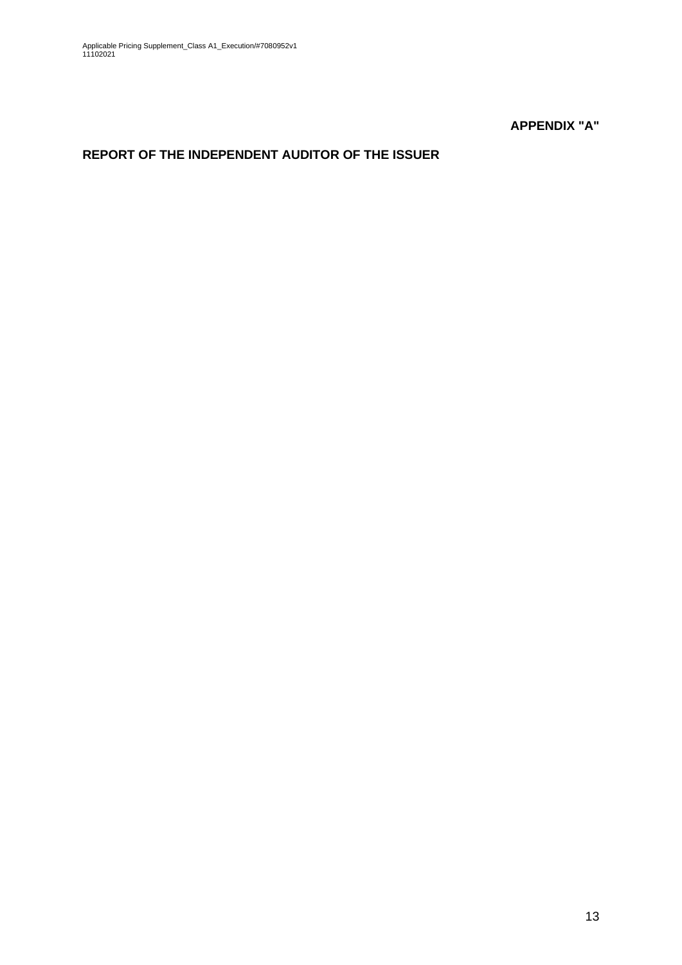**APPENDIX "A"**

# **REPORT OF THE INDEPENDENT AUDITOR OF THE ISSUER**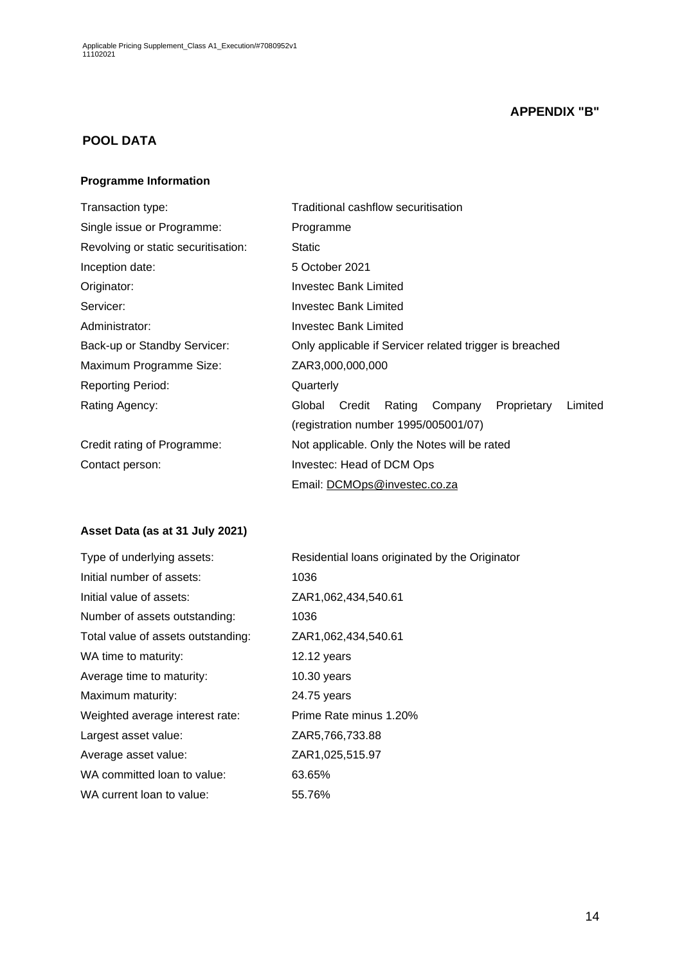## **APPENDIX "B"**

## **POOL DATA**

#### **Programme Information**

| Transaction type:                   | Traditional cashflow securitisation                             |  |  |  |  |  |
|-------------------------------------|-----------------------------------------------------------------|--|--|--|--|--|
| Single issue or Programme:          | Programme                                                       |  |  |  |  |  |
| Revolving or static securitisation: | <b>Static</b>                                                   |  |  |  |  |  |
| Inception date:                     | 5 October 2021                                                  |  |  |  |  |  |
| Originator:                         | Investec Bank Limited                                           |  |  |  |  |  |
| Servicer:                           | <b>Investec Bank Limited</b>                                    |  |  |  |  |  |
| Administrator:                      | Investec Bank Limited                                           |  |  |  |  |  |
| Back-up or Standby Servicer:        | Only applicable if Servicer related trigger is breached         |  |  |  |  |  |
| Maximum Programme Size:             | ZAR3,000,000,000                                                |  |  |  |  |  |
| <b>Reporting Period:</b>            | Quarterly                                                       |  |  |  |  |  |
| Rating Agency:                      | Credit<br>Proprietary<br>Limited<br>Global<br>Rating<br>Company |  |  |  |  |  |
|                                     | (registration number 1995/005001/07)                            |  |  |  |  |  |
| Credit rating of Programme:         | Not applicable. Only the Notes will be rated                    |  |  |  |  |  |
| Contact person:                     | Investec: Head of DCM Ops                                       |  |  |  |  |  |
|                                     | Email: DCMOps@investec.co.za                                    |  |  |  |  |  |

## **Asset Data (as at 31 July 2021)**

| Type of underlying assets:         | Residential loans originated by the Originator |
|------------------------------------|------------------------------------------------|
| Initial number of assets:          | 1036                                           |
| Initial value of assets:           | ZAR1,062,434,540.61                            |
| Number of assets outstanding:      | 1036                                           |
| Total value of assets outstanding: | ZAR1,062,434,540.61                            |
| WA time to maturity:               | $12.12$ years                                  |
| Average time to maturity:          | $10.30$ years                                  |
| Maximum maturity:                  | 24.75 years                                    |
| Weighted average interest rate:    | Prime Rate minus 1.20%                         |
| Largest asset value:               | ZAR5,766,733.88                                |
| Average asset value:               | ZAR1,025,515.97                                |
| WA committed loan to value:        | 63.65%                                         |
| WA current loan to value:          | 55.76%                                         |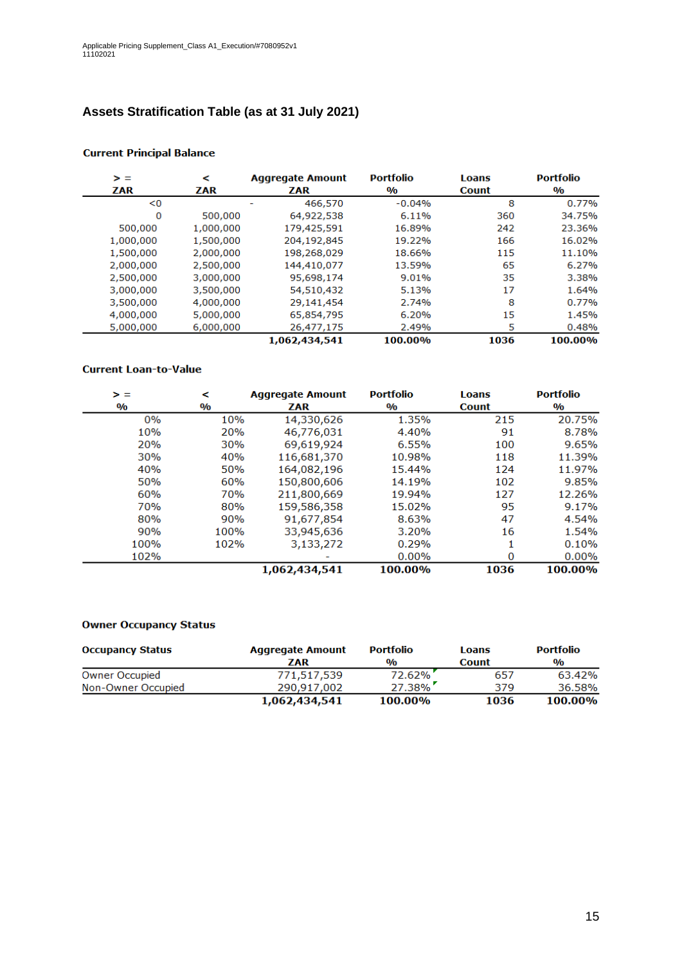# **Assets Stratification Table (as at 31 July 2021)**

| > =       | ⋖         | <b>Aggregate Amount</b> | <b>Portfolio</b>        | Loans        | <b>Portfolio</b>        |
|-----------|-----------|-------------------------|-------------------------|--------------|-------------------------|
| ZAR       | ZAR       | ZAR                     | $\mathbf{0}/\mathbf{0}$ | <b>Count</b> | $\mathbf{0}/\mathbf{0}$ |
| < 0       |           | 466,570                 | $-0.04%$                | 8            | 0.77%                   |
| 0         | 500,000   | 64,922,538              | 6.11%                   | 360          | 34.75%                  |
| 500,000   | 1,000,000 | 179,425,591             | 16.89%                  | 242          | 23.36%                  |
| 1,000,000 | 1,500,000 | 204,192,845             | 19.22%                  | 166          | 16.02%                  |
| 1,500,000 | 2,000,000 | 198,268,029             | 18.66%                  | 115          | 11.10%                  |
| 2,000,000 | 2,500,000 | 144,410,077             | 13.59%                  | 65           | 6.27%                   |
| 2,500,000 | 3,000,000 | 95,698,174              | 9.01%                   | 35           | 3.38%                   |
| 3,000,000 | 3,500,000 | 54,510,432              | 5.13%                   | 17           | 1.64%                   |
| 3,500,000 | 4,000,000 | 29,141,454              | 2.74%                   | 8            | 0.77%                   |
| 4,000,000 | 5,000,000 | 65,854,795              | 6.20%                   | 15           | 1.45%                   |
| 5,000,000 | 6,000,000 | 26,477,175              | 2.49%                   | 5            | 0.48%                   |
|           |           | 1,062,434,541           | 100.00%                 | 1036         | 100.00%                 |

#### **Current Principal Balance**

#### **Current Loan-to-Value**

| > =           | ⋖             | <b>Aggregate Amount</b> | <b>Portfolio</b> | <b>Loans</b> | <b>Portfolio</b>        |
|---------------|---------------|-------------------------|------------------|--------------|-------------------------|
| $\frac{0}{0}$ | $\frac{0}{0}$ | ZAR                     | $\frac{0}{0}$    | <b>Count</b> | $\mathbf{0}/\mathbf{0}$ |
| 0%            | 10%           | 14,330,626              | 1.35%            | 215          | 20.75%                  |
| 10%           | 20%           | 46,776,031              | 4.40%            | 91           | 8.78%                   |
| 20%           | <b>30%</b>    | 69,619,924              | 6.55%            | 100          | 9.65%                   |
| 30%           | 40%           | 116,681,370             | 10.98%           | 118          | 11.39%                  |
| 40%           | 50%           | 164,082,196             | 15.44%           | 124          | 11.97%                  |
| 50%           | 60%           | 150,800,606             | 14.19%           | 102          | 9.85%                   |
| 60%           | <b>70%</b>    | 211,800,669             | 19.94%           | 127          | 12.26%                  |
| 70%           | 80%           | 159,586,358             | 15.02%           | 95           | 9.17%                   |
| 80%           | 90%           | 91,677,854              | 8.63%            | 47           | 4.54%                   |
| 90%           | 100%          | 33,945,636              | 3.20%            | 16           | 1.54%                   |
| 100%          | 102%          | 3,133,272               | 0.29%            |              | 0.10%                   |
| 102%          |               |                         | 0.00%            | 0            | 0.00%                   |
|               |               | 1,062,434,541           | 100.00%          | 1036         | 100.00%                 |

#### **Owner Occupancy Status**

| <b>Occupancy Status</b> | <b>Aggregate Amount</b> | <b>Portfolio</b> | Loans        | <b>Portfolio</b> |
|-------------------------|-------------------------|------------------|--------------|------------------|
|                         | ZAR                     | $\frac{0}{0}$    | <b>Count</b> | $\frac{0}{0}$    |
| <b>Owner Occupied</b>   | 771,517,539             | 72.62%           | 657          | 63.42%           |
| Non-Owner Occupied      | 290.917.002             | $27.38\%$        | 379          | 36.58%           |
|                         | 1,062,434,541           | 100.00%          | 1036         | 100.00%          |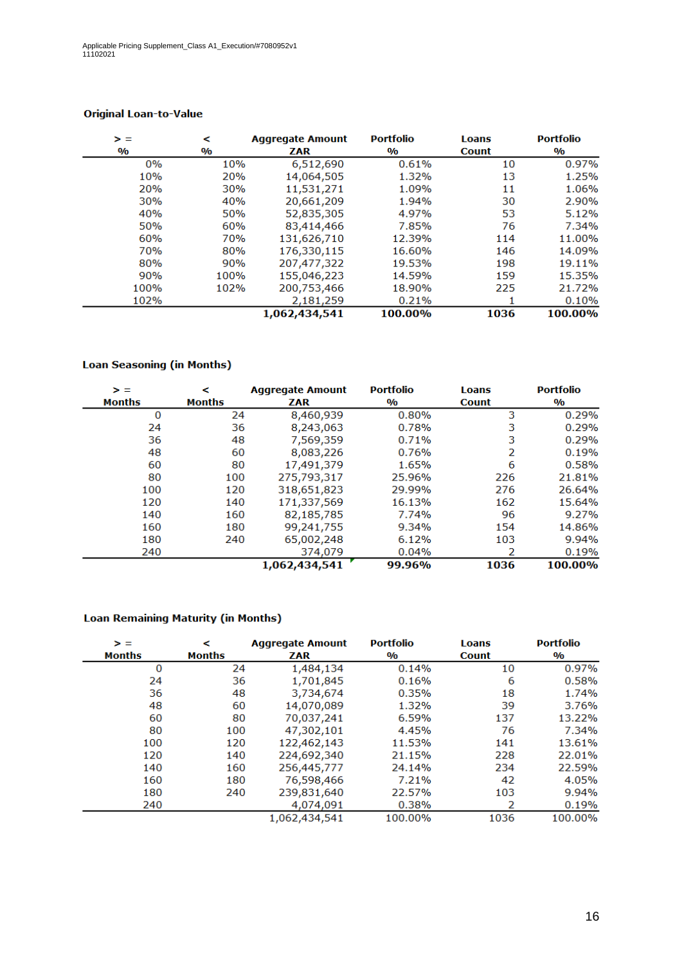| > =           | <             | <b>Aggregate Amount</b> |               | <b>Loans</b> | <b>Portfolio</b> |
|---------------|---------------|-------------------------|---------------|--------------|------------------|
| $\frac{0}{0}$ | $\frac{0}{0}$ | ZAR                     | $\frac{0}{0}$ | <b>Count</b> | $\frac{0}{0}$    |
| 0%            | 10%           | 6,512,690               | 0.61%         | 10           | 0.97%            |
| 10%           | 20%           | 14,064,505              | 1.32%         | 13           | 1.25%            |
| 20%           | 30%           | 11,531,271              | 1.09%         | 11           | 1.06%            |
| 30%           | 40%           | 20,661,209              | 1.94%         | 30           | 2.90%            |
| 40%           | 50%           | 52,835,305              | 4.97%         | 53           | 5.12%            |
| 50%           | 60%           | 83,414,466              | 7.85%         | 76           | 7.34%            |
| 60%           | 70%           | 131,626,710             | 12.39%        | 114          | 11.00%           |
| 70%           | 80%           | 176,330,115             | 16.60%        | 146          | 14.09%           |
| 80%           | 90%           | 207,477,322             | 19.53%        | 198          | 19.11%           |
| 90%           | 100%          | 155,046,223             | 14.59%        | 159          | 15.35%           |
| 100%          | 102%          | 200,753,466             | 18.90%        | 225          | 21.72%           |
| 102%          |               | 2,181,259               | 0.21%         |              | 0.10%            |
|               |               | 1,062,434,541           | 100.00%       | 1036         | 100.00%          |

### **Original Loan-to-Value**

### **Loan Seasoning (in Months)**

| > =<br><b>Months</b> | ⋖<br><b>Months</b> | <b>Aggregate Amount</b><br>ZAR | <b>Portfolio</b><br>$\mathbf{0}/\mathbf{0}$ | <b>Loans</b><br><b>Count</b> | <b>Portfolio</b><br>$\mathbf{O}/\mathbf{O}$ |
|----------------------|--------------------|--------------------------------|---------------------------------------------|------------------------------|---------------------------------------------|
|                      |                    |                                |                                             | 3                            |                                             |
| 0                    | 24                 | 8,460,939                      | 0.80%                                       |                              | 0.29%                                       |
| 24                   | 36                 | 8,243,063                      | 0.78%                                       | 3                            | 0.29%                                       |
| 36                   | 48                 | 7,569,359                      | 0.71%                                       | 3                            | 0.29%                                       |
| 48                   | 60                 | 8,083,226                      | 0.76%                                       | 2                            | 0.19%                                       |
| 60                   | 80                 | 17,491,379                     | 1.65%                                       | 6                            | 0.58%                                       |
| 80                   | 100                | 275,793,317                    | 25.96%                                      | 226                          | 21.81%                                      |
| 100                  | 120                | 318,651,823                    | 29.99%                                      | 276                          | 26.64%                                      |
| 120                  | 140                | 171,337,569                    | 16.13%                                      | 162                          | 15.64%                                      |
| 140                  | 160                | 82,185,785                     | 7.74%                                       | 96                           | 9.27%                                       |
| 160                  | 180                | 99,241,755                     | 9.34%                                       | 154                          | 14.86%                                      |
| 180                  | 240                | 65,002,248                     | 6.12%                                       | 103                          | 9.94%                                       |
| 240                  |                    | 374,079                        | 0.04%                                       |                              | 0.19%                                       |
|                      |                    | 1,062,434,541                  | 99.96%                                      | 1036                         | 100.00%                                     |

#### **Loan Remaining Maturity (in Months)**

| > =           | ≺             | <b>Aggregate Amount</b> | <b>Portfolio</b>        | <b>Loans</b> | <b>Portfolio</b>        |
|---------------|---------------|-------------------------|-------------------------|--------------|-------------------------|
| <b>Months</b> | <b>Months</b> | ZAR                     | $\mathbf{0}/\mathbf{0}$ | <b>Count</b> | $\mathbf{0}/\mathbf{0}$ |
| 0             | 24            | 1,484,134               | 0.14%                   | 10           | 0.97%                   |
| 24            | 36            | 1,701,845               | 0.16%                   | 6            | 0.58%                   |
| 36            | 48            | 3,734,674               | 0.35%                   | 18           | 1.74%                   |
| 48            | 60            | 14,070,089              | 1.32%                   | 39           | 3.76%                   |
| 60            | 80            | 70,037,241              | 6.59%                   | 137          | 13.22%                  |
| 80            | 100           | 47,302,101              | 4.45%                   | 76           | 7.34%                   |
| 100           | 120           | 122,462,143             | 11.53%                  | 141          | 13.61%                  |
| 120           | 140           | 224,692,340             | 21.15%                  | 228          | 22.01%                  |
| 140           | 160           | 256,445,777             | 24.14%                  | 234          | 22.59%                  |
| 160           | 180           | 76,598,466              | 7.21%                   | 42           | 4.05%                   |
| 180           | 240           | 239,831,640             | 22.57%                  | 103          | 9.94%                   |
| 240           |               | 4,074,091               | 0.38%                   | 2            | 0.19%                   |
|               |               | 1,062,434,541           | 100.00%                 | 1036         | 100.00%                 |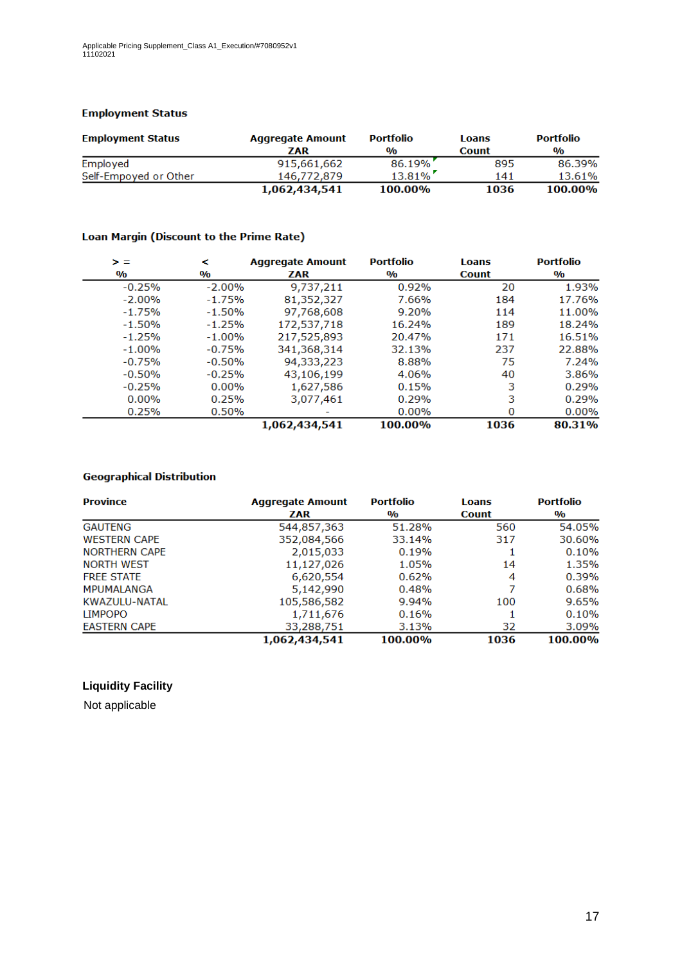#### **Employment Status**

| <b>Employment Status</b> | <b>Aggregate Amount</b> | <b>Portfolio</b> | Loans        | <b>Portfolio</b> |
|--------------------------|-------------------------|------------------|--------------|------------------|
|                          | ZAR                     | $\frac{0}{0}$    | <b>Count</b> | $\frac{0}{0}$    |
| Employed                 | 915,661,662             | 86.19%           | 895          | 86.39%           |
| Self-Empoyed or Other    | 146,772,879             | $13.81\%$        | 141          | 13.61%           |
|                          | 1,062,434,541           | 100.00%          | 1036         | 100.00%          |

#### Loan Margin (Discount to the Prime Rate)

| > =                     | ≺                       | <b>Aggregate Amount</b> | <b>Portfolio</b>        | <b>Loans</b> | <b>Portfolio</b>        |
|-------------------------|-------------------------|-------------------------|-------------------------|--------------|-------------------------|
| $\mathbf{0}/\mathbf{0}$ | $\mathbf{0}/\mathbf{0}$ | ZAR                     | $\mathbf{0}/\mathbf{0}$ | <b>Count</b> | $\mathbf{0}/\mathbf{0}$ |
| $-0.25%$                | $-2.00\%$               | 9,737,211               | 0.92%                   | 20           | 1.93%                   |
| $-2.00%$                | $-1.75%$                | 81,352,327              | 7.66%                   | 184          | 17.76%                  |
| $-1.75%$                | $-1.50%$                | 97,768,608              | 9.20%                   | 114          | 11.00%                  |
| $-1.50%$                | $-1.25%$                | 172,537,718             | 16.24%                  | 189          | 18.24%                  |
| $-1.25%$                | $-1.00%$                | 217,525,893             | 20.47%                  | 171          | 16.51%                  |
| $-1.00%$                | $-0.75%$                | 341,368,314             | 32.13%                  | 237          | 22.88%                  |
| $-0.75%$                | $-0.50%$                | 94,333,223              | 8.88%                   | 75           | 7.24%                   |
| $-0.50%$                | $-0.25%$                | 43,106,199              | 4.06%                   | 40           | 3.86%                   |
| $-0.25%$                | $0.00\%$                | 1,627,586               | 0.15%                   | 3            | 0.29%                   |
| $0.00\%$                | 0.25%                   | 3,077,461               | 0.29%                   | 3            | 0.29%                   |
| 0.25%                   | 0.50%                   |                         | $0.00\%$                | 0            | $0.00\%$                |
|                         |                         | 1,062,434,541           | 100.00%                 | 1036         | 80.31%                  |

### **Geographical Distribution**

| <b>Province</b>      | <b>Aggregate Amount</b> | <b>Portfolio</b> | <b>Loans</b> | <b>Portfolio</b> |  |
|----------------------|-------------------------|------------------|--------------|------------------|--|
|                      | <b>ZAR</b>              | $\frac{0}{0}$    | <b>Count</b> | $\frac{0}{0}$    |  |
| <b>GAUTENG</b>       | 544,857,363             | 51.28%           | 560          | 54.05%           |  |
| <b>WESTERN CAPE</b>  | 352,084,566             | 33.14%           | 317          | 30.60%           |  |
| <b>NORTHERN CAPE</b> | 2,015,033               | 0.19%            |              | 0.10%            |  |
| <b>NORTH WEST</b>    | 11,127,026              | 1.05%            | 14           | 1.35%            |  |
| <b>FREE STATE</b>    | 6,620,554               | 0.62%            | 4            | 0.39%            |  |
| <b>MPUMALANGA</b>    | 5,142,990               | 0.48%            |              | 0.68%            |  |
| KWAZULU-NATAL        | 105,586,582             | 9.94%            | 100          | 9.65%            |  |
| <b>LIMPOPO</b>       | 1,711,676               | 0.16%            |              | 0.10%            |  |
| <b>EASTERN CAPE</b>  | 33,288,751              | 3.13%            | 32           | 3.09%            |  |
|                      | 1,062,434,541           | 100.00%          | 1036         | 100.00%          |  |

### **Liquidity Facility**

Not applicable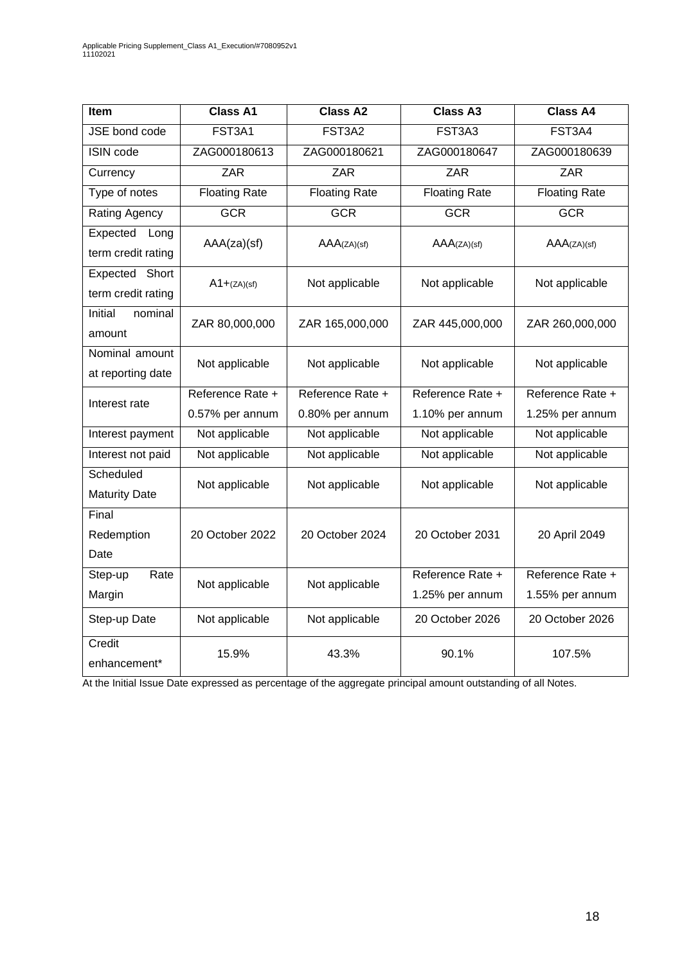| Item                                    | <b>Class A1</b>      | <b>Class A2</b>      | <b>Class A3</b>                     | <b>Class A4</b>                     |
|-----------------------------------------|----------------------|----------------------|-------------------------------------|-------------------------------------|
| JSE bond code                           | FST3A1               | FST3A2               | FST3A3                              | FST3A4                              |
| <b>ISIN</b> code                        | ZAG000180613         | ZAG000180621         | ZAG000180647                        | ZAG000180639                        |
| Currency                                | <b>ZAR</b>           | ZAR                  | ZAR                                 | ZAR                                 |
| Type of notes                           | <b>Floating Rate</b> | <b>Floating Rate</b> | <b>Floating Rate</b>                | <b>Floating Rate</b>                |
| Rating Agency                           | <b>GCR</b>           | <b>GCR</b>           | <b>GCR</b>                          | <b>GCR</b>                          |
| Expected<br>Long<br>term credit rating  | AAA(za)(sf)          | AAA(ZA)(sf)          | AAA(ZA)(sf)                         | AAA(ZA)(sf)                         |
| Short<br>Expected<br>term credit rating | $A1 + (ZA)(sf)$      | Not applicable       | Not applicable                      | Not applicable                      |
| Initial<br>nominal<br>amount            | ZAR 80,000,000       | ZAR 165,000,000      | ZAR 445,000,000                     | ZAR 260,000,000                     |
| Nominal amount<br>at reporting date     | Not applicable       | Not applicable       | Not applicable                      | Not applicable                      |
| Interest rate                           | Reference Rate +     | Reference Rate +     | Reference Rate +                    | Reference Rate +                    |
|                                         | 0.57% per annum      | 0.80% per annum      | 1.10% per annum                     | 1.25% per annum                     |
| Interest payment                        | Not applicable       | Not applicable       | Not applicable                      | Not applicable                      |
| Interest not paid                       | Not applicable       | Not applicable       | Not applicable                      | Not applicable                      |
| Scheduled<br><b>Maturity Date</b>       | Not applicable       | Not applicable       | Not applicable                      | Not applicable                      |
| Final<br>Redemption<br>Date             | 20 October 2022      | 20 October 2024      | 20 October 2031                     | 20 April 2049                       |
| Step-up<br>Rate<br>Margin               | Not applicable       | Not applicable       | Reference Rate +<br>1.25% per annum | Reference Rate +<br>1.55% per annum |
| Step-up Date                            | Not applicable       | Not applicable       | 20 October 2026                     | 20 October 2026                     |
| Credit<br>enhancement*                  | 15.9%                | 43.3%                | 90.1%                               | 107.5%                              |

At the Initial Issue Date expressed as percentage of the aggregate principal amount outstanding of all Notes.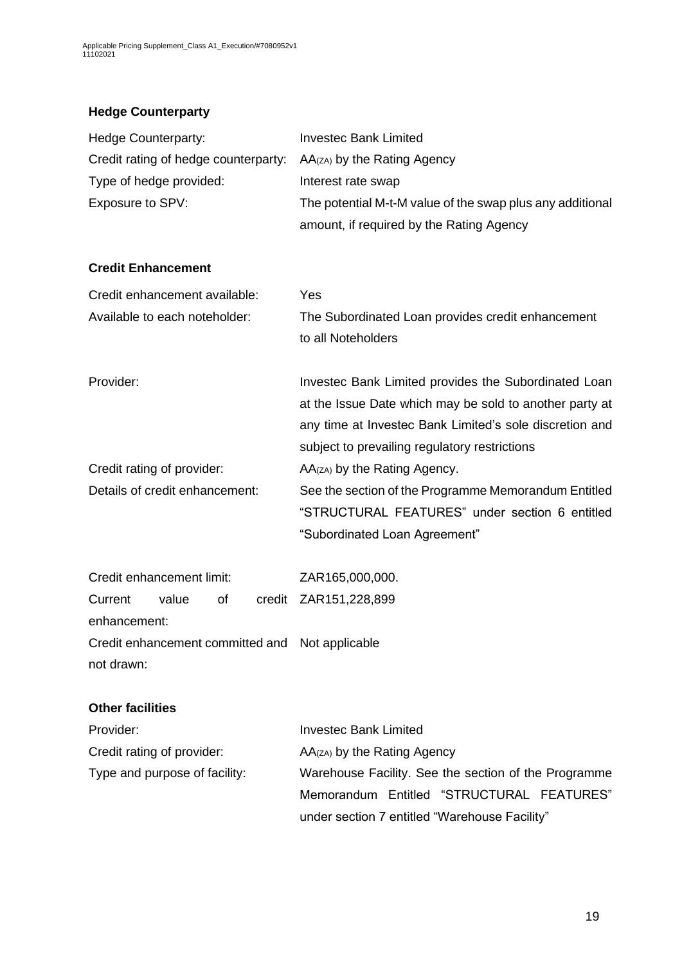# **Hedge Counterparty**

| Hedge Counterparty:                             | <b>Investec Bank Limited</b>                                                                                                                                                                                                |
|-------------------------------------------------|-----------------------------------------------------------------------------------------------------------------------------------------------------------------------------------------------------------------------------|
| Credit rating of hedge counterparty:            | AA(zA) by the Rating Agency                                                                                                                                                                                                 |
| Type of hedge provided:                         | Interest rate swap                                                                                                                                                                                                          |
| Exposure to SPV:                                | The potential M-t-M value of the swap plus any additional                                                                                                                                                                   |
|                                                 | amount, if required by the Rating Agency                                                                                                                                                                                    |
| <b>Credit Enhancement</b>                       |                                                                                                                                                                                                                             |
| Credit enhancement available:                   | Yes                                                                                                                                                                                                                         |
| Available to each noteholder:                   | The Subordinated Loan provides credit enhancement<br>to all Noteholders                                                                                                                                                     |
| Provider:                                       | Investec Bank Limited provides the Subordinated Loan<br>at the Issue Date which may be sold to another party at<br>any time at Investec Bank Limited's sole discretion and<br>subject to prevailing regulatory restrictions |
| Credit rating of provider:                      | AA(zA) by the Rating Agency.                                                                                                                                                                                                |
| Details of credit enhancement:                  | See the section of the Programme Memorandum Entitled                                                                                                                                                                        |
|                                                 | "STRUCTURAL FEATURES" under section 6 entitled                                                                                                                                                                              |
|                                                 | "Subordinated Loan Agreement"                                                                                                                                                                                               |
| Credit enhancement limit:                       | ZAR165,000,000.                                                                                                                                                                                                             |
| value<br>of<br>Current                          | credit ZAR151,228,899                                                                                                                                                                                                       |
| enhancement:                                    |                                                                                                                                                                                                                             |
| Credit enhancement committed and Not applicable |                                                                                                                                                                                                                             |
| not drawn:                                      |                                                                                                                                                                                                                             |
| <b>Other facilities</b>                         |                                                                                                                                                                                                                             |
| Provider:                                       | <b>Investec Bank Limited</b>                                                                                                                                                                                                |
| Credit rating of provider:                      | AA(zA) by the Rating Agency                                                                                                                                                                                                 |
| Type and purpose of facility:                   | Warehouse Facility. See the section of the Programme                                                                                                                                                                        |
|                                                 | Memorandum Entitled "STRUCTURAL FEATURES"                                                                                                                                                                                   |
|                                                 | under section 7 entitled "Warehouse Facility"                                                                                                                                                                               |